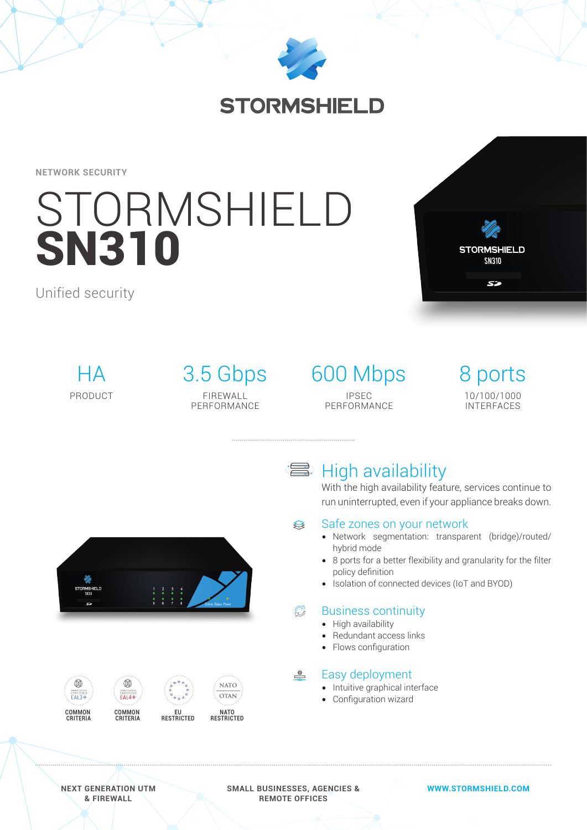

# **STORMSHIELD**

**NETWORK SECURITY**

# **STORMSHIELD** SN310

Unified security



 $HA$ PRODUCT

FIREWALL PERFORMANCE

## 3.5 Gbps 600 Mbps IPSEC PERFORMANCE

8 ports 10/100/1000 INTERFACES



# **■ High availability**

With the high availability feature, services continue to run uninterrupted, even if your appliance breaks down.

#### Safe zones on your network ≋

- Network segmentation: transparent (bridge)/routed/ hybrid mode
- 8 ports for a better flexibility and granularity for the filter policy definition
- Isolation of connected devices (IoT and BYOD)

#### $\mathbb{C}^1$ Business continuity

- High availability
- Redundant access links
- Flows configuration

#### $\circ$ Easy deployment

- Intuitive graphical interface
- Configuration wizard





#### **NEXT GENERATION UTM & FIREWALL**

**SMALL BUSINESSES, AGENCIES & REMOTE OFFICES**

#### **WWW.STORMSHIELD.COM**